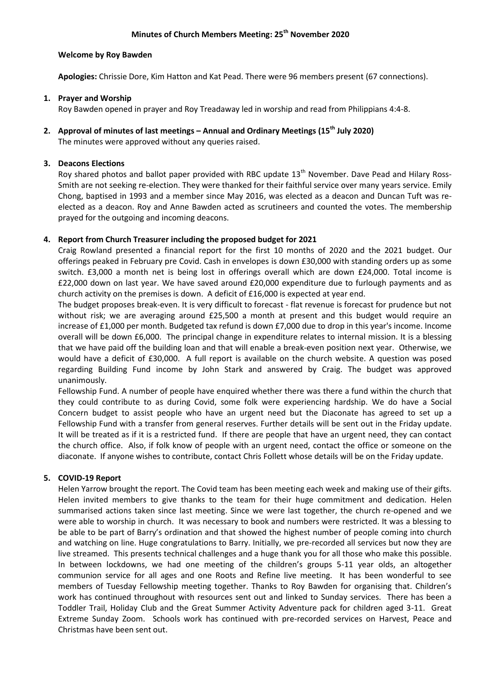## **Minutes of Church Members Meeting: 25th November 2020**

## **Welcome by Roy Bawden**

**Apologies:** Chrissie Dore, Kim Hatton and Kat Pead. There were 96 members present (67 connections).

## **1. Prayer and Worship**

Roy Bawden opened in prayer and Roy Treadaway led in worship and read from Philippians 4:4-8.

# **2. Approval of minutes of last meetings – Annual and Ordinary Meetings (15th July 2020)**

The minutes were approved without any queries raised.

## **3. Deacons Elections**

Roy shared photos and ballot paper provided with RBC update 13<sup>th</sup> November. Dave Pead and Hilary Ross-Smith are not seeking re-election. They were thanked for their faithful service over many years service. Emily Chong, baptised in 1993 and a member since May 2016, was elected as a deacon and Duncan Tuft was reelected as a deacon. Roy and Anne Bawden acted as scrutineers and counted the votes. The membership prayed for the outgoing and incoming deacons.

## **4. Report from Church Treasurer including the proposed budget for 2021**

Craig Rowland presented a financial report for the first 10 months of 2020 and the 2021 budget. Our offerings peaked in February pre Covid. Cash in envelopes is down £30,000 with standing orders up as some switch. £3,000 a month net is being lost in offerings overall which are down £24,000. Total income is £22,000 down on last year. We have saved around £20,000 expenditure due to furlough payments and as church activity on the premises is down. A deficit of £16,000 is expected at year end.

The budget proposes break-even. It is very difficult to forecast - flat revenue is forecast for prudence but not without risk; we are averaging around £25,500 a month at present and this budget would require an increase of £1,000 per month. Budgeted tax refund is down £7,000 due to drop in this year's income. Income overall will be down £6,000. The principal change in expenditure relates to internal mission. It is a blessing that we have paid off the building loan and that will enable a break-even position next year. Otherwise, we would have a deficit of £30,000. A full report is available on the church website. A question was posed regarding Building Fund income by John Stark and answered by Craig. The budget was approved unanimously.

Fellowship Fund. A number of people have enquired whether there was there a fund within the church that they could contribute to as during Covid, some folk were experiencing hardship. We do have a Social Concern budget to assist people who have an urgent need but the Diaconate has agreed to set up a Fellowship Fund with a transfer from general reserves. Further details will be sent out in the Friday update. It will be treated as if it is a restricted fund. If there are people that have an urgent need, they can contact the church office. Also, if folk know of people with an urgent need, contact the office or someone on the diaconate. If anyone wishes to contribute, contact Chris Follett whose details will be on the Friday update.

## **5. COVID-19 Report**

Helen Yarrow brought the report. The Covid team has been meeting each week and making use of their gifts. Helen invited members to give thanks to the team for their huge commitment and dedication. Helen summarised actions taken since last meeting. Since we were last together, the church re-opened and we were able to worship in church. It was necessary to book and numbers were restricted. It was a blessing to be able to be part of Barry's ordination and that showed the highest number of people coming into church and watching on line. Huge congratulations to Barry. Initially, we pre-recorded all services but now they are live streamed. This presents technical challenges and a huge thank you for all those who make this possible. In between lockdowns, we had one meeting of the children's groups 5-11 year olds, an altogether communion service for all ages and one Roots and Refine live meeting. It has been wonderful to see members of Tuesday Fellowship meeting together. Thanks to Roy Bawden for organising that. Children's work has continued throughout with resources sent out and linked to Sunday services. There has been a Toddler Trail, Holiday Club and the Great Summer Activity Adventure pack for children aged 3-11. Great Extreme Sunday Zoom. Schools work has continued with pre-recorded services on Harvest, Peace and Christmas have been sent out.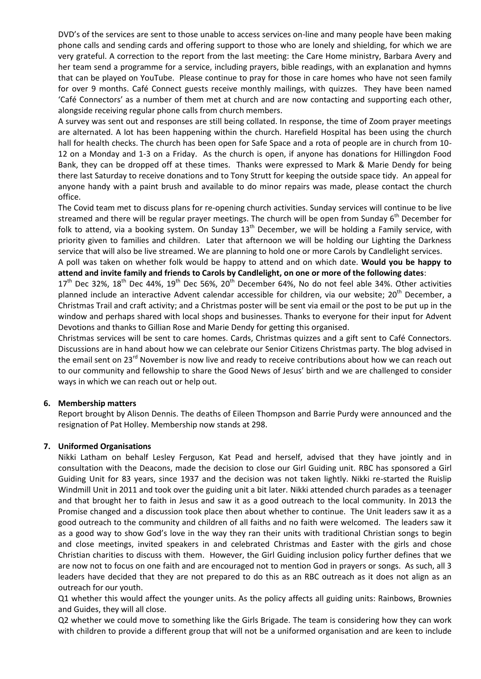DVD's of the services are sent to those unable to access services on-line and many people have been making phone calls and sending cards and offering support to those who are lonely and shielding, for which we are very grateful. A correction to the report from the last meeting: the Care Home ministry, Barbara Avery and her team send a programme for a service, including prayers, bible readings, with an explanation and hymns that can be played on YouTube. Please continue to pray for those in care homes who have not seen family for over 9 months. Café Connect guests receive monthly mailings, with quizzes. They have been named 'Café Connectors' as a number of them met at church and are now contacting and supporting each other, alongside receiving regular phone calls from church members.

A survey was sent out and responses are still being collated. In response, the time of Zoom prayer meetings are alternated. A lot has been happening within the church. Harefield Hospital has been using the church hall for health checks. The church has been open for Safe Space and a rota of people are in church from 10- 12 on a Monday and 1-3 on a Friday. As the church is open, if anyone has donations for Hillingdon Food Bank, they can be dropped off at these times. Thanks were expressed to Mark & Marie Dendy for being there last Saturday to receive donations and to Tony Strutt for keeping the outside space tidy. An appeal for anyone handy with a paint brush and available to do minor repairs was made, please contact the church office.

The Covid team met to discuss plans for re-opening church activities. Sunday services will continue to be live streamed and there will be regular prayer meetings. The church will be open from Sunday 6<sup>th</sup> December for folk to attend, via a booking system. On Sunday  $13<sup>th</sup>$  December, we will be holding a Family service, with priority given to families and children. Later that afternoon we will be holding our Lighting the Darkness service that will also be live streamed. We are planning to hold one or more Carols by Candlelight services.

A poll was taken on whether folk would be happy to attend and on which date. **Would you be happy to attend and invite family and friends to Carols by Candlelight, on one or more of the following dates**:

 $17<sup>th</sup>$  Dec 32%,  $18<sup>th</sup>$  Dec 44%,  $19<sup>th</sup>$  Dec 56%,  $20<sup>th</sup>$  December 64%, No do not feel able 34%. Other activities planned include an interactive Advent calendar accessible for children, via our website; 20<sup>th</sup> December, a Christmas Trail and craft activity; and a Christmas poster will be sent via email or the post to be put up in the window and perhaps shared with local shops and businesses. Thanks to everyone for their input for Advent Devotions and thanks to Gillian Rose and Marie Dendy for getting this organised.

Christmas services will be sent to care homes. Cards, Christmas quizzes and a gift sent to Café Connectors. Discussions are in hand about how we can celebrate our Senior Citizens Christmas party. The blog advised in the email sent on 23<sup>rd</sup> November is now live and ready to receive contributions about how we can reach out to our community and fellowship to share the Good News of Jesus' birth and we are challenged to consider ways in which we can reach out or help out.

## **6. Membership matters**

Report brought by Alison Dennis. The deaths of Eileen Thompson and Barrie Purdy were announced and the resignation of Pat Holley. Membership now stands at 298.

## **7. Uniformed Organisations**

Nikki Latham on behalf Lesley Ferguson, Kat Pead and herself, advised that they have jointly and in consultation with the Deacons, made the decision to close our Girl Guiding unit. RBC has sponsored a Girl Guiding Unit for 83 years, since 1937 and the decision was not taken lightly. Nikki re-started the Ruislip Windmill Unit in 2011 and took over the guiding unit a bit later. Nikki attended church parades as a teenager and that brought her to faith in Jesus and saw it as a good outreach to the local community. In 2013 the Promise changed and a discussion took place then about whether to continue. The Unit leaders saw it as a good outreach to the community and children of all faiths and no faith were welcomed. The leaders saw it as a good way to show God's love in the way they ran their units with traditional Christian songs to begin and close meetings, invited speakers in and celebrated Christmas and Easter with the girls and chose Christian charities to discuss with them. However, the Girl Guiding inclusion policy further defines that we are now not to focus on one faith and are encouraged not to mention God in prayers or songs. As such, all 3 leaders have decided that they are not prepared to do this as an RBC outreach as it does not align as an outreach for our youth.

Q1 whether this would affect the younger units. As the policy affects all guiding units: Rainbows, Brownies and Guides, they will all close.

Q2 whether we could move to something like the Girls Brigade. The team is considering how they can work with children to provide a different group that will not be a uniformed organisation and are keen to include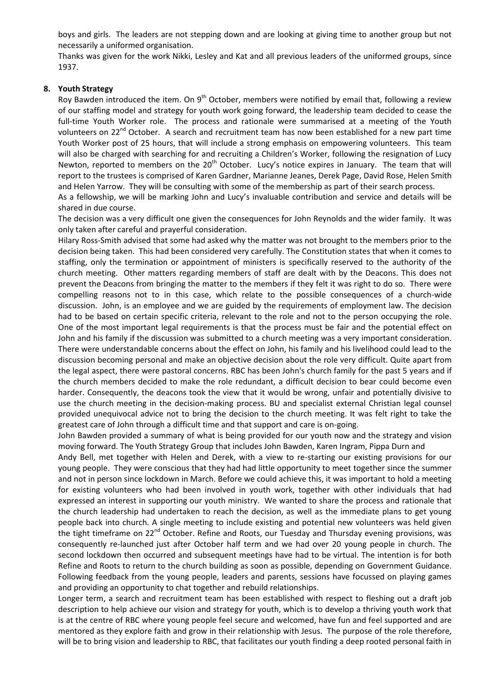boys and girls. The leaders are not stepping down and are looking at giving time to another group but not necessarily a uniformed organisation.

Thanks was given for the work Nikki, Lesley and Kat and all previous leaders of the uniformed groups, since 1937.

## **8. Youth Strategy**

Roy Bawden introduced the item. On  $9<sup>th</sup>$  October, members were notified by email that, following a review of our staffing model and strategy for youth work going forward, the leadership team decided to cease the full-time Youth Worker role. The process and rationale were summarised at a meeting of the Youth volunteers on 22<sup>nd</sup> October. A search and recruitment team has now been established for a new part time Youth Worker post of 25 hours, that will include a strong emphasis on empowering volunteers. This team will also be charged with searching for and recruiting a Children's Worker, following the resignation of Lucy Newton, reported to members on the 20<sup>th</sup> October. Lucy's notice expires in January. The team that will report to the trustees is comprised of Karen Gardner, Marianne Jeanes, Derek Page, David Rose, Helen Smith and Helen Yarrow. They will be consulting with some of the membership as part of their search process.

As a fellowship, we will be marking John and Lucy's invaluable contribution and service and details will be shared in due course.

The decision was a very difficult one given the consequences for John Reynolds and the wider family. It was only taken after careful and prayerful consideration.

Hilary Ross-Smith advised that some had asked why the matter was not brought to the members prior to the decision being taken. This had been considered very carefully. The Constitution states that when it comes to staffing, only the termination or appointment of ministers is specifically reserved to the authority of the church meeting. Other matters regarding members of staff are dealt with by the Deacons. This does not prevent the Deacons from bringing the matter to the members if they felt it was right to do so. There were compelling reasons not to in this case, which relate to the possible consequences of a church-wide discussion. John, is an employee and we are guided by the requirements of employment law. The decision had to be based on certain specific criteria, relevant to the role and not to the person occupying the role. One of the most important legal requirements is that the process must be fair and the potential effect on John and his family if the discussion was submitted to a church meeting was a very important consideration. There were understandable concerns about the effect on John, his family and his livelihood could lead to the discussion becoming personal and make an objective decision about the role very difficult. Quite apart from the legal aspect, there were pastoral concerns. RBC has been John's church family for the past 5 years and if the church members decided to make the role redundant, a difficult decision to bear could become even harder. Consequently, the deacons took the view that it would be wrong, unfair and potentially divisive to use the church meeting in the decision-making process. BU and specialist external Christian legal counsel provided unequivocal advice not to bring the decision to the church meeting. It was felt right to take the greatest care of John through a difficult time and that support and care is on-going.

John Bawden provided a summary of what is being provided for our youth now and the strategy and vision moving forward. The Youth Strategy Group that includes John Bawden, Karen Ingram, Pippa Durn and

Andy Bell, met together with Helen and Derek, with a view to re-starting our existing provisions for our young people. They were conscious that they had had little opportunity to meet together since the summer and not in person since lockdown in March. Before we could achieve this, it was important to hold a meeting for existing volunteers who had been involved in youth work, together with other individuals that had expressed an interest in supporting our youth ministry. We wanted to share the process and rationale that the church leadership had undertaken to reach the decision, as well as the immediate plans to get young people back into church. A single meeting to include existing and potential new volunteers was held given the tight timeframe on 22<sup>nd</sup> October. Refine and Roots, our Tuesday and Thursday evening provisions, was consequently re-launched just after October half term and we had over 20 young people in church. The second lockdown then occurred and subsequent meetings have had to be virtual. The intention is for both Refine and Roots to return to the church building as soon as possible, depending on Government Guidance. Following feedback from the young people, leaders and parents, sessions have focussed on playing games and providing an opportunity to chat together and rebuild relationships.

Longer term, a search and recruitment team has been established with respect to fleshing out a draft job description to help achieve our vision and strategy for youth, which is to develop a thriving youth work that is at the centre of RBC where young people feel secure and welcomed, have fun and feel supported and are mentored as they explore faith and grow in their relationship with Jesus. The purpose of the role therefore, will be to bring vision and leadership to RBC, that facilitates our youth finding a deep rooted personal faith in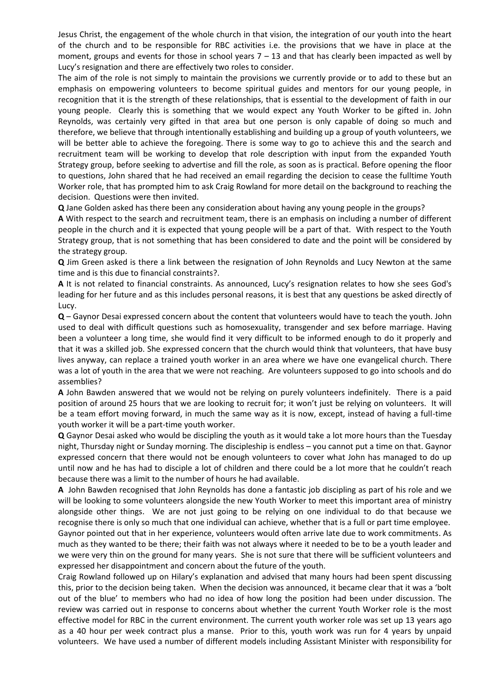Jesus Christ, the engagement of the whole church in that vision, the integration of our youth into the heart of the church and to be responsible for RBC activities i.e. the provisions that we have in place at the moment, groups and events for those in school years  $7 - 13$  and that has clearly been impacted as well by Lucy's resignation and there are effectively two roles to consider.

The aim of the role is not simply to maintain the provisions we currently provide or to add to these but an emphasis on empowering volunteers to become spiritual guides and mentors for our young people, in recognition that it is the strength of these relationships, that is essential to the development of faith in our young people. Clearly this is something that we would expect any Youth Worker to be gifted in. John Reynolds, was certainly very gifted in that area but one person is only capable of doing so much and therefore, we believe that through intentionally establishing and building up a group of youth volunteers, we will be better able to achieve the foregoing. There is some way to go to achieve this and the search and recruitment team will be working to develop that role description with input from the expanded Youth Strategy group, before seeking to advertise and fill the role, as soon as is practical. Before opening the floor to questions, John shared that he had received an email regarding the decision to cease the fulltime Youth Worker role, that has prompted him to ask Craig Rowland for more detail on the background to reaching the decision. Questions were then invited.

**Q** Jane Golden asked has there been any consideration about having any young people in the groups?

**A** With respect to the search and recruitment team, there is an emphasis on including a number of different people in the church and it is expected that young people will be a part of that. With respect to the Youth Strategy group, that is not something that has been considered to date and the point will be considered by the strategy group.

**Q** Jim Green asked is there a link between the resignation of John Reynolds and Lucy Newton at the same time and is this due to financial constraints?.

**A** It is not related to financial constraints. As announced, Lucy's resignation relates to how she sees God's leading for her future and as this includes personal reasons, it is best that any questions be asked directly of Lucy.

**Q** – Gaynor Desai expressed concern about the content that volunteers would have to teach the youth. John used to deal with difficult questions such as homosexuality, transgender and sex before marriage. Having been a volunteer a long time, she would find it very difficult to be informed enough to do it properly and that it was a skilled job. She expressed concern that the church would think that volunteers, that have busy lives anyway, can replace a trained youth worker in an area where we have one evangelical church. There was a lot of youth in the area that we were not reaching. Are volunteers supposed to go into schools and do assemblies?

**A** John Bawden answered that we would not be relying on purely volunteers indefinitely. There is a paid position of around 25 hours that we are looking to recruit for; it won't just be relying on volunteers. It will be a team effort moving forward, in much the same way as it is now, except, instead of having a full-time youth worker it will be a part-time youth worker.

**Q** Gaynor Desai asked who would be discipling the youth as it would take a lot more hours than the Tuesday night, Thursday night or Sunday morning. The discipleship is endless – you cannot put a time on that. Gaynor expressed concern that there would not be enough volunteers to cover what John has managed to do up until now and he has had to disciple a lot of children and there could be a lot more that he couldn't reach because there was a limit to the number of hours he had available.

**A** John Bawden recognised that John Reynolds has done a fantastic job discipling as part of his role and we will be looking to some volunteers alongside the new Youth Worker to meet this important area of ministry alongside other things. We are not just going to be relying on one individual to do that because we recognise there is only so much that one individual can achieve, whether that is a full or part time employee. Gaynor pointed out that in her experience, volunteers would often arrive late due to work commitments. As much as they wanted to be there; their faith was not always where it needed to be to be a youth leader and we were very thin on the ground for many years. She is not sure that there will be sufficient volunteers and expressed her disappointment and concern about the future of the youth.

Craig Rowland followed up on Hilary's explanation and advised that many hours had been spent discussing this, prior to the decision being taken. When the decision was announced, it became clear that it was a 'bolt out of the blue' to members who had no idea of how long the position had been under discussion. The review was carried out in response to concerns about whether the current Youth Worker role is the most effective model for RBC in the current environment. The current youth worker role was set up 13 years ago as a 40 hour per week contract plus a manse. Prior to this, youth work was run for 4 years by unpaid volunteers. We have used a number of different models including Assistant Minister with responsibility for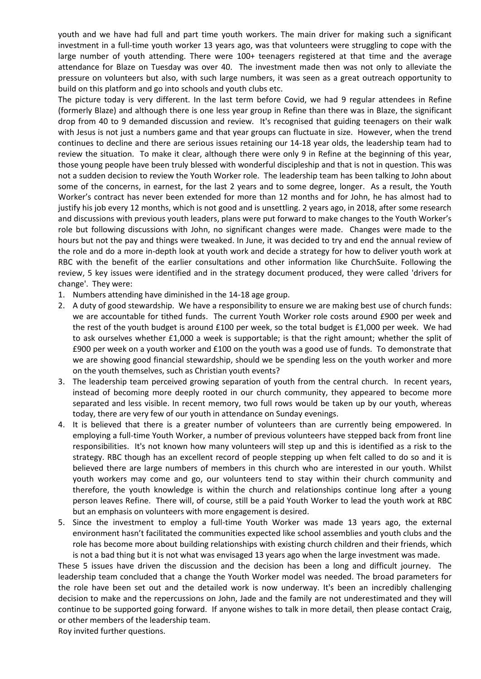youth and we have had full and part time youth workers. The main driver for making such a significant investment in a full-time youth worker 13 years ago, was that volunteers were struggling to cope with the large number of youth attending. There were 100+ teenagers registered at that time and the average attendance for Blaze on Tuesday was over 40. The investment made then was not only to alleviate the pressure on volunteers but also, with such large numbers, it was seen as a great outreach opportunity to build on this platform and go into schools and youth clubs etc.

The picture today is very different. In the last term before Covid, we had 9 regular attendees in Refine (formerly Blaze) and although there is one less year group in Refine than there was in Blaze, the significant drop from 40 to 9 demanded discussion and review. It's recognised that guiding teenagers on their walk with Jesus is not just a numbers game and that year groups can fluctuate in size. However, when the trend continues to decline and there are serious issues retaining our 14-18 year olds, the leadership team had to review the situation. To make it clear, although there were only 9 in Refine at the beginning of this year, those young people have been truly blessed with wonderful discipleship and that is not in question. This was not a sudden decision to review the Youth Worker role. The leadership team has been talking to John about some of the concerns, in earnest, for the last 2 years and to some degree, longer. As a result, the Youth Worker's contract has never been extended for more than 12 months and for John, he has almost had to justify his job every 12 months, which is not good and is unsettling. 2 years ago, in 2018, after some research and discussions with previous youth leaders, plans were put forward to make changes to the Youth Worker's role but following discussions with John, no significant changes were made. Changes were made to the hours but not the pay and things were tweaked. In June, it was decided to try and end the annual review of the role and do a more in-depth look at youth work and decide a strategy for how to deliver youth work at RBC with the benefit of the earlier consultations and other information like ChurchSuite. Following the review, 5 key issues were identified and in the strategy document produced, they were called 'drivers for change'. They were:

- 1. Numbers attending have diminished in the 14-18 age group.
- 2. A duty of good stewardship. We have a responsibility to ensure we are making best use of church funds: we are accountable for tithed funds. The current Youth Worker role costs around £900 per week and the rest of the youth budget is around £100 per week, so the total budget is £1,000 per week. We had to ask ourselves whether £1,000 a week is supportable; is that the right amount; whether the split of £900 per week on a youth worker and £100 on the youth was a good use of funds. To demonstrate that we are showing good financial stewardship, should we be spending less on the youth worker and more on the youth themselves, such as Christian youth events?
- 3. The leadership team perceived growing separation of youth from the central church. In recent years, instead of becoming more deeply rooted in our church community, they appeared to become more separated and less visible. In recent memory, two full rows would be taken up by our youth, whereas today, there are very few of our youth in attendance on Sunday evenings.
- 4. It is believed that there is a greater number of volunteers than are currently being empowered. In employing a full-time Youth Worker, a number of previous volunteers have stepped back from front line responsibilities. It's not known how many volunteers will step up and this is identified as a risk to the strategy. RBC though has an excellent record of people stepping up when felt called to do so and it is believed there are large numbers of members in this church who are interested in our youth. Whilst youth workers may come and go, our volunteers tend to stay within their church community and therefore, the youth knowledge is within the church and relationships continue long after a young person leaves Refine. There will, of course, still be a paid Youth Worker to lead the youth work at RBC but an emphasis on volunteers with more engagement is desired.
- 5. Since the investment to employ a full-time Youth Worker was made 13 years ago, the external environment hasn't facilitated the communities expected like school assemblies and youth clubs and the role has become more about building relationships with existing church children and their friends, which is not a bad thing but it is not what was envisaged 13 years ago when the large investment was made.

These 5 issues have driven the discussion and the decision has been a long and difficult journey. The leadership team concluded that a change the Youth Worker model was needed. The broad parameters for the role have been set out and the detailed work is now underway. It's been an incredibly challenging decision to make and the repercussions on John, Jade and the family are not underestimated and they will continue to be supported going forward. If anyone wishes to talk in more detail, then please contact Craig, or other members of the leadership team.

Roy invited further questions.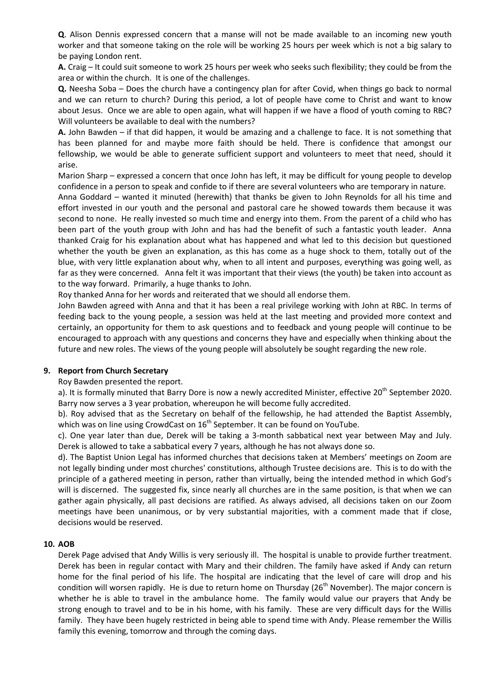**Q**. Alison Dennis expressed concern that a manse will not be made available to an incoming new youth worker and that someone taking on the role will be working 25 hours per week which is not a big salary to be paying London rent.

**A.** Craig – It could suit someone to work 25 hours per week who seeks such flexibility; they could be from the area or within the church. It is one of the challenges.

**Q.** Neesha Soba – Does the church have a contingency plan for after Covid, when things go back to normal and we can return to church? During this period, a lot of people have come to Christ and want to know about Jesus. Once we are able to open again, what will happen if we have a flood of youth coming to RBC? Will volunteers be available to deal with the numbers?

**A.** John Bawden – if that did happen, it would be amazing and a challenge to face. It is not something that has been planned for and maybe more faith should be held. There is confidence that amongst our fellowship, we would be able to generate sufficient support and volunteers to meet that need, should it arise.

Marion Sharp – expressed a concern that once John has left, it may be difficult for young people to develop confidence in a person to speak and confide to if there are several volunteers who are temporary in nature.

Anna Goddard – wanted it minuted (herewith) that thanks be given to John Reynolds for all his time and effort invested in our youth and the personal and pastoral care he showed towards them because it was second to none. He really invested so much time and energy into them. From the parent of a child who has been part of the youth group with John and has had the benefit of such a fantastic youth leader. Anna thanked Craig for his explanation about what has happened and what led to this decision but questioned whether the youth be given an explanation, as this has come as a huge shock to them, totally out of the blue, with very little explanation about why, when to all intent and purposes, everything was going well, as far as they were concerned. Anna felt it was important that their views (the youth) be taken into account as to the way forward. Primarily, a huge thanks to John.

Roy thanked Anna for her words and reiterated that we should all endorse them.

John Bawden agreed with Anna and that it has been a real privilege working with John at RBC. In terms of feeding back to the young people, a session was held at the last meeting and provided more context and certainly, an opportunity for them to ask questions and to feedback and young people will continue to be encouraged to approach with any questions and concerns they have and especially when thinking about the future and new roles. The views of the young people will absolutely be sought regarding the new role.

## **9. Report from Church Secretary**

Roy Bawden presented the report.

a). It is formally minuted that Barry Dore is now a newly accredited Minister, effective 20<sup>th</sup> September 2020. Barry now serves a 3 year probation, whereupon he will become fully accredited.

b). Roy advised that as the Secretary on behalf of the fellowship, he had attended the Baptist Assembly, which was on line using CrowdCast on  $16<sup>th</sup>$  September. It can be found on YouTube.

c). One year later than due, Derek will be taking a 3-month sabbatical next year between May and July. Derek is allowed to take a sabbatical every 7 years, although he has not always done so.

d). The Baptist Union Legal has informed churches that decisions taken at Members' meetings on Zoom are not legally binding under most churches' constitutions, although Trustee decisions are. This is to do with the principle of a gathered meeting in person, rather than virtually, being the intended method in which God's will is discerned. The suggested fix, since nearly all churches are in the same position, is that when we can gather again physically, all past decisions are ratified. As always advised, all decisions taken on our Zoom meetings have been unanimous, or by very substantial majorities, with a comment made that if close, decisions would be reserved.

#### **10. AOB**

Derek Page advised that Andy Willis is very seriously ill. The hospital is unable to provide further treatment. Derek has been in regular contact with Mary and their children. The family have asked if Andy can return home for the final period of his life. The hospital are indicating that the level of care will drop and his condition will worsen rapidly. He is due to return home on Thursday (26<sup>th</sup> November). The major concern is whether he is able to travel in the ambulance home. The family would value our prayers that Andy be strong enough to travel and to be in his home, with his family. These are very difficult days for the Willis family. They have been hugely restricted in being able to spend time with Andy. Please remember the Willis family this evening, tomorrow and through the coming days.